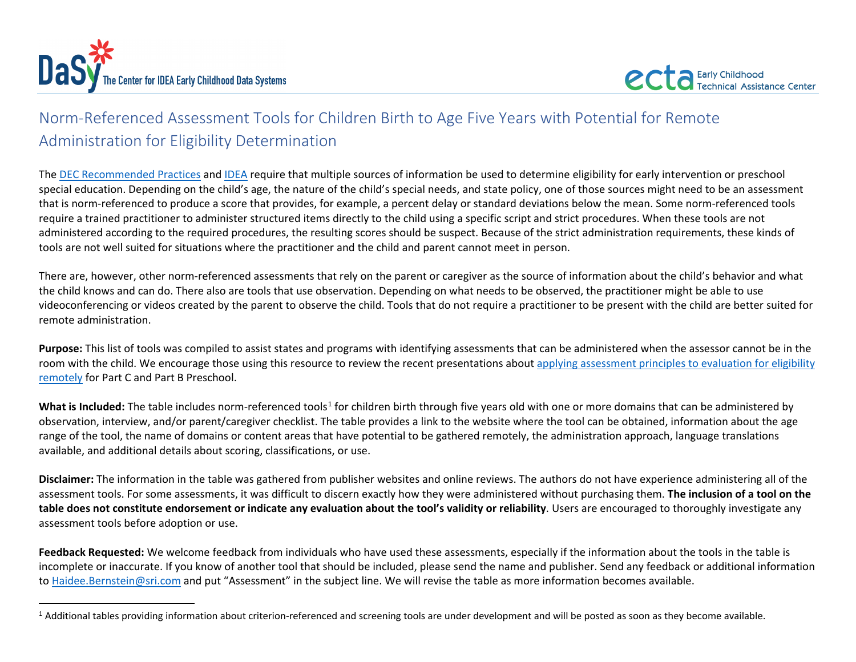<span id="page-0-0"></span>

## Norm-Referenced Assessment Tools for Children Birth to Age Five Years with Potential for Remote Administration for Eligibility Determination

The [DEC Recommended Practices](https://ectacenter.org/decrp/decrp.asp) an[d IDEA](https://ectacenter.org/idea.asp) require that multiple sources of information be used to determine eligibility for early intervention or preschool special education. Depending on the child's age, the nature of the child's special needs, and state policy, one of those sources might need to be an assessment that is norm-referenced to produce a score that provides, for example, a percent delay or standard deviations below the mean. Some norm-referenced tools require a trained practitioner to administer structured items directly to the child using a specific script and strict procedures. When these tools are not administered according to the required procedures, the resulting scores should be suspect. Because of the strict administration requirements, these kinds of tools are not well suited for situations where the practitioner and the child and parent cannot meet in person.

There are, however, other norm-referenced assessments that rely on the parent or caregiver as the source of information about the child's behavior and what the child knows and can do. There also are tools that use observation. Depending on what needs to be observed, the practitioner might be able to use videoconferencing or videos created by the parent to observe the child. Tools that do not require a practitioner to be present with the child are better suited for remote administration.

**Purpose:** This list of tools was compiled to assist states and programs with identifying assessments that can be administered when the assessor cannot be in the room with the child. We encourage those using this resource to review the recent presentations about [applying assessment principles to evaluation for eligibility](https://ectacenter.org/events/webinars.asp#y2020evaluationpandemic)  [remotely](https://ectacenter.org/events/webinars.asp#y2020evaluationpandemic) for Part C and Part B Preschool.

What is Included: The table includes norm-referenced tools<sup>[1](#page-0-0)</sup> for children birth through five years old with one or more domains that can be administered by observation, interview, and/or parent/caregiver checklist. The table provides a link to the website where the tool can be obtained, information about the age range of the tool, the name of domains or content areas that have potential to be gathered remotely, the administration approach, language translations available, and additional details about scoring, classifications, or use.

**Disclaimer:** The information in the table was gathered from publisher websites and online reviews. The authors do not have experience administering all of the assessment tools. For some assessments, it was difficult to discern exactly how they were administered without purchasing them. **The inclusion of a tool on the table does not constitute endorsement or indicate any evaluation about the tool's validity or reliability**. Users are encouraged to thoroughly investigate any assessment tools before adoption or use.

**Feedback Requested:** We welcome feedback from individuals who have used these assessments, especially if the information about the tools in the table is incomplete or inaccurate. If you know of another tool that should be included, please send the name and publisher. Send any feedback or additional information to [Haidee.Bernstein@sri.com](mailto:Haidee.Bernstein@sri.com) and put "Assessment" in the subject line. We will revise the table as more information becomes available.

 $1$  Additional tables providing information about criterion-referenced and screening tools are under development and will be posted as soon as they become available.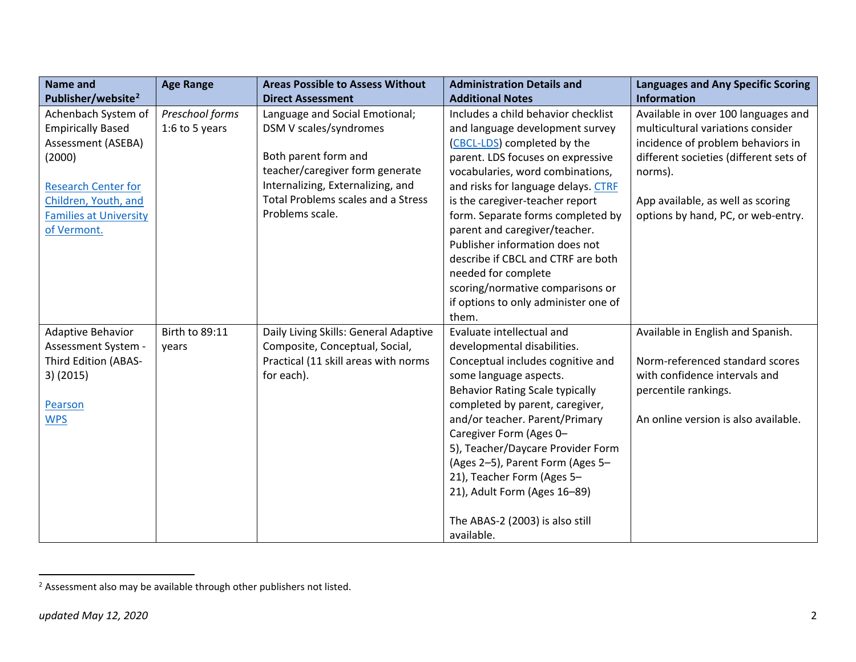<span id="page-1-0"></span>

| <b>Name and</b>                | <b>Age Range</b> | <b>Areas Possible to Assess Without</b>   | <b>Administration Details and</b>      | <b>Languages and Any Specific Scoring</b> |
|--------------------------------|------------------|-------------------------------------------|----------------------------------------|-------------------------------------------|
| Publisher/website <sup>2</sup> |                  | <b>Direct Assessment</b>                  | <b>Additional Notes</b>                | <b>Information</b>                        |
| Achenbach System of            | Preschool forms  | Language and Social Emotional;            | Includes a child behavior checklist    | Available in over 100 languages and       |
| <b>Empirically Based</b>       | 1:6 to 5 years   | DSM V scales/syndromes                    | and language development survey        | multicultural variations consider         |
| Assessment (ASEBA)             |                  |                                           | (CBCL-LDS) completed by the            | incidence of problem behaviors in         |
| (2000)                         |                  | Both parent form and                      | parent. LDS focuses on expressive      | different societies (different sets of    |
|                                |                  | teacher/caregiver form generate           | vocabularies, word combinations,       | norms).                                   |
| <b>Research Center for</b>     |                  | Internalizing, Externalizing, and         | and risks for language delays. CTRF    |                                           |
| Children, Youth, and           |                  | <b>Total Problems scales and a Stress</b> | is the caregiver-teacher report        | App available, as well as scoring         |
| <b>Families at University</b>  |                  | Problems scale.                           | form. Separate forms completed by      | options by hand, PC, or web-entry.        |
| of Vermont.                    |                  |                                           | parent and caregiver/teacher.          |                                           |
|                                |                  |                                           | Publisher information does not         |                                           |
|                                |                  |                                           | describe if CBCL and CTRF are both     |                                           |
|                                |                  |                                           | needed for complete                    |                                           |
|                                |                  |                                           | scoring/normative comparisons or       |                                           |
|                                |                  |                                           | if options to only administer one of   |                                           |
|                                |                  |                                           | them.                                  |                                           |
| Adaptive Behavior              | Birth to 89:11   | Daily Living Skills: General Adaptive     | Evaluate intellectual and              | Available in English and Spanish.         |
| Assessment System -            | years            | Composite, Conceptual, Social,            | developmental disabilities.            |                                           |
| Third Edition (ABAS-           |                  | Practical (11 skill areas with norms      | Conceptual includes cognitive and      | Norm-referenced standard scores           |
| $3)$ (2015)                    |                  | for each).                                | some language aspects.                 | with confidence intervals and             |
|                                |                  |                                           | <b>Behavior Rating Scale typically</b> | percentile rankings.                      |
| Pearson                        |                  |                                           | completed by parent, caregiver,        |                                           |
| <b>WPS</b>                     |                  |                                           | and/or teacher. Parent/Primary         | An online version is also available.      |
|                                |                  |                                           | Caregiver Form (Ages 0-                |                                           |
|                                |                  |                                           | 5), Teacher/Daycare Provider Form      |                                           |
|                                |                  |                                           | (Ages 2-5), Parent Form (Ages 5-       |                                           |
|                                |                  |                                           | 21), Teacher Form (Ages 5-             |                                           |
|                                |                  |                                           | 21), Adult Form (Ages 16-89)           |                                           |
|                                |                  |                                           | The ABAS-2 (2003) is also still        |                                           |
|                                |                  |                                           | available.                             |                                           |

 $2$  Assessment also may be available through other publishers not listed.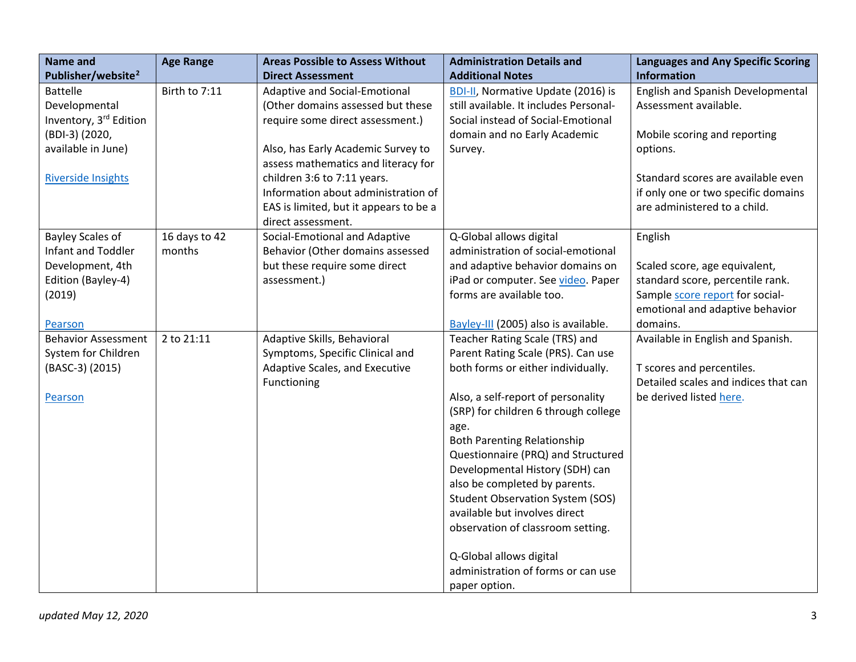| <b>Name and</b>                | <b>Age Range</b> | <b>Areas Possible to Assess Without</b> | <b>Administration Details and</b>       | <b>Languages and Any Specific Scoring</b> |
|--------------------------------|------------------|-----------------------------------------|-----------------------------------------|-------------------------------------------|
| Publisher/website <sup>2</sup> |                  | <b>Direct Assessment</b>                | <b>Additional Notes</b>                 | <b>Information</b>                        |
| <b>Battelle</b>                | Birth to 7:11    | Adaptive and Social-Emotional           | BDI-II, Normative Update (2016) is      | English and Spanish Developmental         |
| Developmental                  |                  | (Other domains assessed but these       | still available. It includes Personal-  | Assessment available.                     |
| Inventory, 3rd Edition         |                  | require some direct assessment.)        | Social instead of Social-Emotional      |                                           |
| (BDI-3) (2020,                 |                  |                                         | domain and no Early Academic            | Mobile scoring and reporting              |
| available in June)             |                  | Also, has Early Academic Survey to      | Survey.                                 | options.                                  |
|                                |                  | assess mathematics and literacy for     |                                         |                                           |
| <b>Riverside Insights</b>      |                  | children 3:6 to 7:11 years.             |                                         | Standard scores are available even        |
|                                |                  | Information about administration of     |                                         | if only one or two specific domains       |
|                                |                  | EAS is limited, but it appears to be a  |                                         | are administered to a child.              |
|                                |                  | direct assessment.                      |                                         |                                           |
| <b>Bayley Scales of</b>        | 16 days to 42    | Social-Emotional and Adaptive           | Q-Global allows digital                 | English                                   |
| Infant and Toddler             | months           | Behavior (Other domains assessed        | administration of social-emotional      |                                           |
| Development, 4th               |                  | but these require some direct           | and adaptive behavior domains on        | Scaled score, age equivalent,             |
| Edition (Bayley-4)             |                  | assessment.)                            | iPad or computer. See video. Paper      | standard score, percentile rank.          |
| (2019)                         |                  |                                         | forms are available too.                | Sample score report for social-           |
|                                |                  |                                         |                                         | emotional and adaptive behavior           |
| Pearson                        |                  |                                         | Bayley-III (2005) also is available.    | domains.                                  |
| <b>Behavior Assessment</b>     | 2 to 21:11       | Adaptive Skills, Behavioral             | Teacher Rating Scale (TRS) and          | Available in English and Spanish.         |
| System for Children            |                  | Symptoms, Specific Clinical and         | Parent Rating Scale (PRS). Can use      |                                           |
| (BASC-3) (2015)                |                  | Adaptive Scales, and Executive          | both forms or either individually.      | T scores and percentiles.                 |
|                                |                  | Functioning                             |                                         | Detailed scales and indices that can      |
| Pearson                        |                  |                                         | Also, a self-report of personality      | be derived listed here.                   |
|                                |                  |                                         | (SRP) for children 6 through college    |                                           |
|                                |                  |                                         | age.                                    |                                           |
|                                |                  |                                         | <b>Both Parenting Relationship</b>      |                                           |
|                                |                  |                                         | Questionnaire (PRQ) and Structured      |                                           |
|                                |                  |                                         | Developmental History (SDH) can         |                                           |
|                                |                  |                                         | also be completed by parents.           |                                           |
|                                |                  |                                         | <b>Student Observation System (SOS)</b> |                                           |
|                                |                  |                                         | available but involves direct           |                                           |
|                                |                  |                                         | observation of classroom setting.       |                                           |
|                                |                  |                                         | Q-Global allows digital                 |                                           |
|                                |                  |                                         | administration of forms or can use      |                                           |
|                                |                  |                                         | paper option.                           |                                           |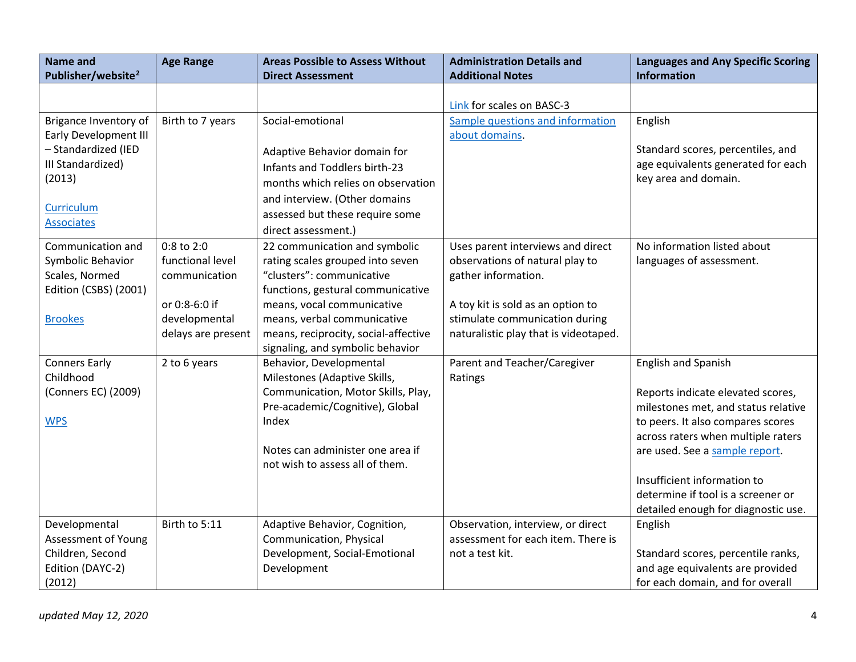| <b>Name and</b>                                                          | <b>Age Range</b>                                     | <b>Areas Possible to Assess Without</b>                                                           | <b>Administration Details and</b>                                                                            | <b>Languages and Any Specific Scoring</b>                                                                |
|--------------------------------------------------------------------------|------------------------------------------------------|---------------------------------------------------------------------------------------------------|--------------------------------------------------------------------------------------------------------------|----------------------------------------------------------------------------------------------------------|
| Publisher/website <sup>2</sup>                                           |                                                      | <b>Direct Assessment</b>                                                                          | <b>Additional Notes</b>                                                                                      | <b>Information</b>                                                                                       |
|                                                                          |                                                      |                                                                                                   | Link for scales on BASC-3                                                                                    |                                                                                                          |
| Brigance Inventory of                                                    | Birth to 7 years                                     | Social-emotional                                                                                  | Sample questions and information                                                                             | English                                                                                                  |
| <b>Early Development III</b><br>- Standardized (IED<br>III Standardized) |                                                      | Adaptive Behavior domain for<br>Infants and Toddlers birth-23                                     | about domains.                                                                                               | Standard scores, percentiles, and<br>age equivalents generated for each                                  |
| (2013)                                                                   |                                                      | months which relies on observation                                                                |                                                                                                              | key area and domain.                                                                                     |
| Curriculum<br><b>Associates</b>                                          |                                                      | and interview. (Other domains<br>assessed but these require some                                  |                                                                                                              |                                                                                                          |
| Communication and<br>Symbolic Behavior                                   | 0:8 to 2:0<br>functional level                       | direct assessment.)<br>22 communication and symbolic<br>rating scales grouped into seven          | Uses parent interviews and direct<br>observations of natural play to                                         | No information listed about<br>languages of assessment.                                                  |
| Scales, Normed<br>Edition (CSBS) (2001)                                  | communication                                        | "clusters": communicative<br>functions, gestural communicative                                    | gather information.                                                                                          |                                                                                                          |
| <b>Brookes</b>                                                           | or 0:8-6:0 if<br>developmental<br>delays are present | means, vocal communicative<br>means, verbal communicative<br>means, reciprocity, social-affective | A toy kit is sold as an option to<br>stimulate communication during<br>naturalistic play that is videotaped. |                                                                                                          |
|                                                                          |                                                      | signaling, and symbolic behavior                                                                  |                                                                                                              |                                                                                                          |
| <b>Conners Early</b><br>Childhood                                        | 2 to 6 years                                         | Behavior, Developmental<br>Milestones (Adaptive Skills,                                           | Parent and Teacher/Caregiver<br>Ratings                                                                      | <b>English and Spanish</b>                                                                               |
| (Conners EC) (2009)                                                      |                                                      | Communication, Motor Skills, Play,<br>Pre-academic/Cognitive), Global                             |                                                                                                              | Reports indicate elevated scores,<br>milestones met, and status relative                                 |
| <b>WPS</b>                                                               |                                                      | Index                                                                                             |                                                                                                              | to peers. It also compares scores<br>across raters when multiple raters                                  |
|                                                                          |                                                      | Notes can administer one area if<br>not wish to assess all of them.                               |                                                                                                              | are used. See a sample report.                                                                           |
|                                                                          |                                                      |                                                                                                   |                                                                                                              | Insufficient information to<br>determine if tool is a screener or<br>detailed enough for diagnostic use. |
| Developmental<br><b>Assessment of Young</b>                              | Birth to 5:11                                        | Adaptive Behavior, Cognition,<br>Communication, Physical                                          | Observation, interview, or direct<br>assessment for each item. There is                                      | English                                                                                                  |
| Children, Second<br>Edition (DAYC-2)                                     |                                                      | Development, Social-Emotional<br>Development                                                      | not a test kit.                                                                                              | Standard scores, percentile ranks,<br>and age equivalents are provided                                   |
| (2012)                                                                   |                                                      |                                                                                                   |                                                                                                              | for each domain, and for overall                                                                         |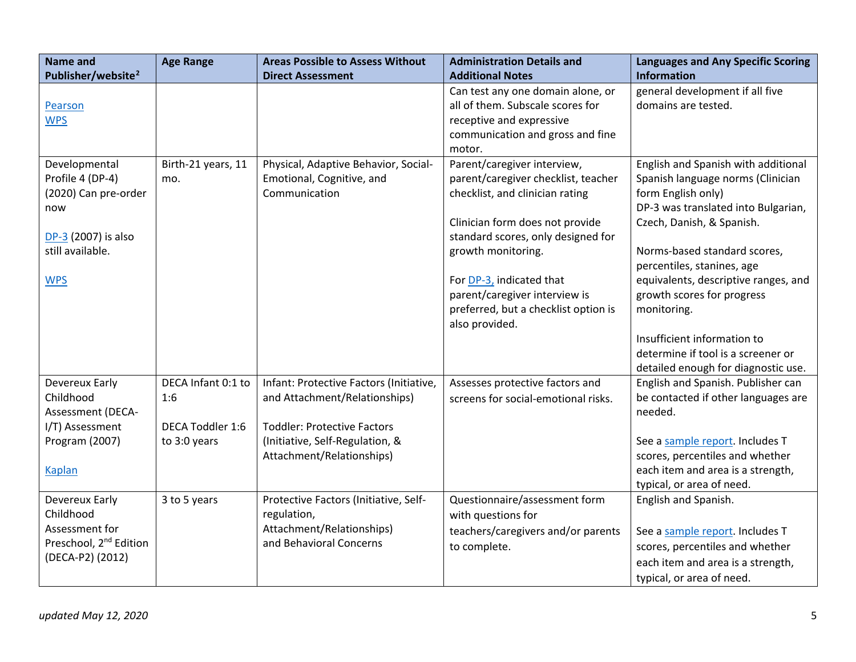| <b>Name and</b>                      | <b>Age Range</b>        | <b>Areas Possible to Assess Without</b> | <b>Administration Details and</b>    | <b>Languages and Any Specific Scoring</b>                         |
|--------------------------------------|-------------------------|-----------------------------------------|--------------------------------------|-------------------------------------------------------------------|
| Publisher/website <sup>2</sup>       |                         | <b>Direct Assessment</b>                | <b>Additional Notes</b>              | <b>Information</b>                                                |
|                                      |                         |                                         | Can test any one domain alone, or    | general development if all five                                   |
| Pearson                              |                         |                                         | all of them. Subscale scores for     | domains are tested.                                               |
| <b>WPS</b>                           |                         |                                         | receptive and expressive             |                                                                   |
|                                      |                         |                                         | communication and gross and fine     |                                                                   |
|                                      |                         |                                         | motor.                               |                                                                   |
| Developmental                        | Birth-21 years, 11      | Physical, Adaptive Behavior, Social-    | Parent/caregiver interview,          | English and Spanish with additional                               |
| Profile 4 (DP-4)                     | mo.                     | Emotional, Cognitive, and               | parent/caregiver checklist, teacher  | Spanish language norms (Clinician                                 |
| (2020) Can pre-order                 |                         | Communication                           | checklist, and clinician rating      | form English only)                                                |
| now                                  |                         |                                         |                                      | DP-3 was translated into Bulgarian,                               |
|                                      |                         |                                         | Clinician form does not provide      | Czech, Danish, & Spanish.                                         |
| DP-3 (2007) is also                  |                         |                                         | standard scores, only designed for   |                                                                   |
| still available.                     |                         |                                         | growth monitoring.                   | Norms-based standard scores,                                      |
|                                      |                         |                                         |                                      | percentiles, stanines, age                                        |
| <b>WPS</b>                           |                         |                                         | For DP-3, indicated that             | equivalents, descriptive ranges, and                              |
|                                      |                         |                                         | parent/caregiver interview is        | growth scores for progress                                        |
|                                      |                         |                                         | preferred, but a checklist option is | monitoring.                                                       |
|                                      |                         |                                         | also provided.                       |                                                                   |
|                                      |                         |                                         |                                      | Insufficient information to<br>determine if tool is a screener or |
|                                      |                         |                                         |                                      |                                                                   |
|                                      | DECA Infant 0:1 to      |                                         |                                      | detailed enough for diagnostic use.                               |
| Devereux Early<br>Childhood          | 1:6                     | Infant: Protective Factors (Initiative, | Assesses protective factors and      | English and Spanish. Publisher can                                |
|                                      |                         | and Attachment/Relationships)           | screens for social-emotional risks.  | be contacted if other languages are<br>needed.                    |
| Assessment (DECA-<br>I/T) Assessment | <b>DECA Toddler 1:6</b> | <b>Toddler: Protective Factors</b>      |                                      |                                                                   |
| Program (2007)                       | to 3:0 years            | (Initiative, Self-Regulation, &         |                                      | See a sample report. Includes T                                   |
|                                      |                         | Attachment/Relationships)               |                                      | scores, percentiles and whether                                   |
| <b>Kaplan</b>                        |                         |                                         |                                      | each item and area is a strength,                                 |
|                                      |                         |                                         |                                      | typical, or area of need.                                         |
| Devereux Early                       | 3 to 5 years            | Protective Factors (Initiative, Self-   | Questionnaire/assessment form        | English and Spanish.                                              |
| Childhood                            |                         | regulation,                             | with questions for                   |                                                                   |
| Assessment for                       |                         | Attachment/Relationships)               | teachers/caregivers and/or parents   |                                                                   |
| Preschool, 2 <sup>nd</sup> Edition   |                         | and Behavioral Concerns                 |                                      | See a sample report. Includes T                                   |
| (DECA-P2) (2012)                     |                         |                                         | to complete.                         | scores, percentiles and whether                                   |
|                                      |                         |                                         |                                      | each item and area is a strength,                                 |
|                                      |                         |                                         |                                      | typical, or area of need.                                         |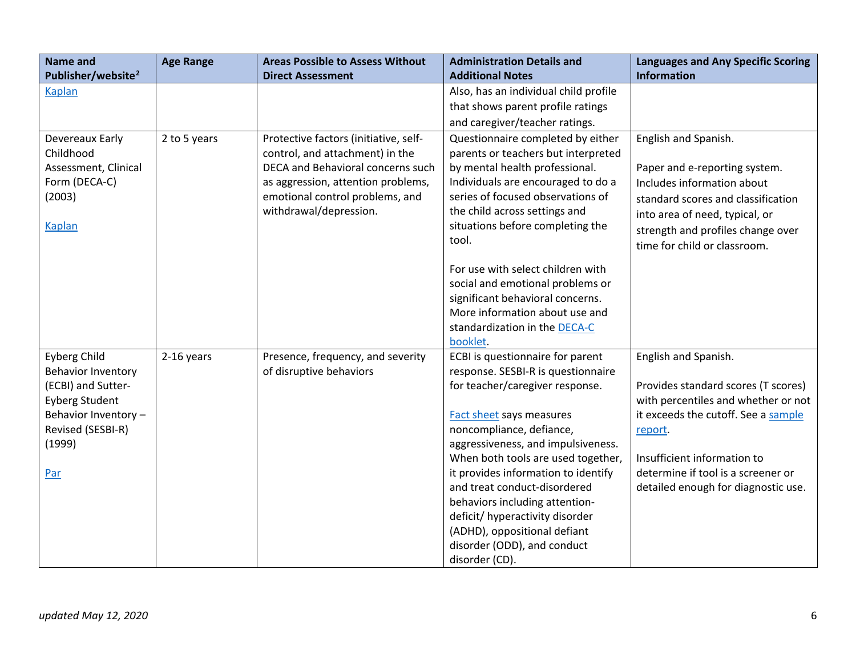| <b>Name and</b>                                                                                                                                       | <b>Age Range</b> | <b>Areas Possible to Assess Without</b>                                                                                                                                                                          | <b>Administration Details and</b>                                                                                                                                                                                                                                                                                           | <b>Languages and Any Specific Scoring</b>                                                                                                                                                                                                                        |
|-------------------------------------------------------------------------------------------------------------------------------------------------------|------------------|------------------------------------------------------------------------------------------------------------------------------------------------------------------------------------------------------------------|-----------------------------------------------------------------------------------------------------------------------------------------------------------------------------------------------------------------------------------------------------------------------------------------------------------------------------|------------------------------------------------------------------------------------------------------------------------------------------------------------------------------------------------------------------------------------------------------------------|
| Publisher/website <sup>2</sup>                                                                                                                        |                  | <b>Direct Assessment</b>                                                                                                                                                                                         | <b>Additional Notes</b>                                                                                                                                                                                                                                                                                                     | <b>Information</b>                                                                                                                                                                                                                                               |
| <b>Kaplan</b>                                                                                                                                         |                  |                                                                                                                                                                                                                  | Also, has an individual child profile                                                                                                                                                                                                                                                                                       |                                                                                                                                                                                                                                                                  |
|                                                                                                                                                       |                  |                                                                                                                                                                                                                  | that shows parent profile ratings                                                                                                                                                                                                                                                                                           |                                                                                                                                                                                                                                                                  |
|                                                                                                                                                       |                  |                                                                                                                                                                                                                  | and caregiver/teacher ratings.                                                                                                                                                                                                                                                                                              |                                                                                                                                                                                                                                                                  |
| Devereaux Early<br>Childhood<br>Assessment, Clinical<br>Form (DECA-C)<br>(2003)<br>Kaplan                                                             | 2 to 5 years     | Protective factors (initiative, self-<br>control, and attachment) in the<br>DECA and Behavioral concerns such<br>as aggression, attention problems,<br>emotional control problems, and<br>withdrawal/depression. | Questionnaire completed by either<br>parents or teachers but interpreted<br>by mental health professional.<br>Individuals are encouraged to do a<br>series of focused observations of<br>the child across settings and<br>situations before completing the<br>tool.                                                         | English and Spanish.<br>Paper and e-reporting system.<br>Includes information about<br>standard scores and classification<br>into area of need, typical, or<br>strength and profiles change over<br>time for child or classroom.                                 |
|                                                                                                                                                       |                  |                                                                                                                                                                                                                  | For use with select children with<br>social and emotional problems or<br>significant behavioral concerns.<br>More information about use and<br>standardization in the DECA-C<br>booklet.                                                                                                                                    |                                                                                                                                                                                                                                                                  |
| <b>Eyberg Child</b><br>Behavior Inventory<br>(ECBI) and Sutter-<br><b>Eyberg Student</b><br>Behavior Inventory-<br>Revised (SESBI-R)<br>(1999)<br>Par | 2-16 years       | Presence, frequency, and severity<br>of disruptive behaviors                                                                                                                                                     | ECBI is questionnaire for parent<br>response. SESBI-R is questionnaire<br>for teacher/caregiver response.<br><b>Fact sheet says measures</b><br>noncompliance, defiance,<br>aggressiveness, and impulsiveness.<br>When both tools are used together,<br>it provides information to identify<br>and treat conduct-disordered | English and Spanish.<br>Provides standard scores (T scores)<br>with percentiles and whether or not<br>it exceeds the cutoff. See a sample<br>report.<br>Insufficient information to<br>determine if tool is a screener or<br>detailed enough for diagnostic use. |
|                                                                                                                                                       |                  |                                                                                                                                                                                                                  | behaviors including attention-<br>deficit/ hyperactivity disorder<br>(ADHD), oppositional defiant<br>disorder (ODD), and conduct<br>disorder (CD).                                                                                                                                                                          |                                                                                                                                                                                                                                                                  |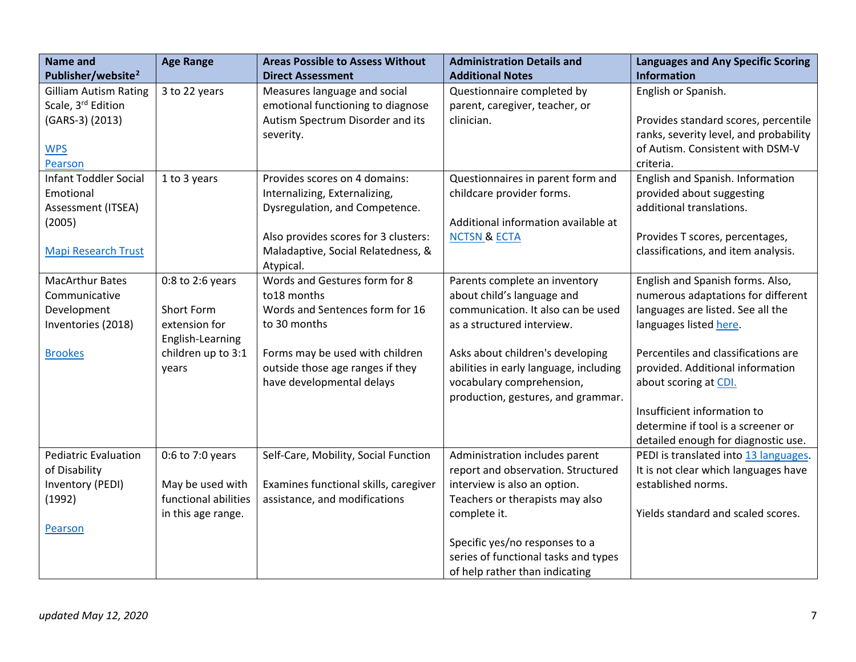| <b>Name and</b><br>Publisher/website <sup>2</sup> | <b>Age Range</b>     | <b>Areas Possible to Assess Without</b><br><b>Direct Assessment</b> | <b>Administration Details and</b><br><b>Additional Notes</b> | <b>Languages and Any Specific Scoring</b><br><b>Information</b>            |
|---------------------------------------------------|----------------------|---------------------------------------------------------------------|--------------------------------------------------------------|----------------------------------------------------------------------------|
| <b>Gilliam Autism Rating</b>                      |                      |                                                                     |                                                              | English or Spanish.                                                        |
| Scale, 3 <sup>rd</sup> Edition                    | 3 to 22 years        | Measures language and social                                        | Questionnaire completed by                                   |                                                                            |
|                                                   |                      | emotional functioning to diagnose                                   | parent, caregiver, teacher, or<br>clinician.                 |                                                                            |
| (GARS-3) (2013)                                   |                      | Autism Spectrum Disorder and its                                    |                                                              | Provides standard scores, percentile                                       |
| <b>WPS</b>                                        |                      | severity.                                                           |                                                              | ranks, severity level, and probability<br>of Autism. Consistent with DSM-V |
| Pearson                                           |                      |                                                                     |                                                              | criteria.                                                                  |
| <b>Infant Toddler Social</b>                      | 1 to 3 years         | Provides scores on 4 domains:                                       | Questionnaires in parent form and                            | English and Spanish. Information                                           |
| Emotional                                         |                      | Internalizing, Externalizing,                                       | childcare provider forms.                                    | provided about suggesting                                                  |
|                                                   |                      | Dysregulation, and Competence.                                      |                                                              | additional translations.                                                   |
| Assessment (ITSEA)                                |                      |                                                                     | Additional information available at                          |                                                                            |
| (2005)                                            |                      | Also provides scores for 3 clusters:                                | <b>NCTSN &amp; ECTA</b>                                      | Provides T scores, percentages,                                            |
|                                                   |                      | Maladaptive, Social Relatedness, &                                  |                                                              | classifications, and item analysis.                                        |
| <b>Mapi Research Trust</b>                        |                      | Atypical.                                                           |                                                              |                                                                            |
| <b>MacArthur Bates</b>                            | $0:8$ to 2:6 years   | Words and Gestures form for 8                                       | Parents complete an inventory                                | English and Spanish forms. Also,                                           |
| Communicative                                     |                      | to18 months                                                         | about child's language and                                   | numerous adaptations for different                                         |
| Development                                       | Short Form           | Words and Sentences form for 16                                     | communication. It also can be used                           | languages are listed. See all the                                          |
| Inventories (2018)                                | extension for        | to 30 months                                                        | as a structured interview.                                   | languages listed here.                                                     |
|                                                   | English-Learning     |                                                                     |                                                              |                                                                            |
| <b>Brookes</b>                                    | children up to 3:1   | Forms may be used with children                                     | Asks about children's developing                             | Percentiles and classifications are                                        |
|                                                   | years                | outside those age ranges if they                                    | abilities in early language, including                       | provided. Additional information                                           |
|                                                   |                      | have developmental delays                                           | vocabulary comprehension,                                    | about scoring at CDI.                                                      |
|                                                   |                      |                                                                     | production, gestures, and grammar.                           |                                                                            |
|                                                   |                      |                                                                     |                                                              | Insufficient information to                                                |
|                                                   |                      |                                                                     |                                                              | determine if tool is a screener or                                         |
|                                                   |                      |                                                                     |                                                              | detailed enough for diagnostic use.                                        |
| <b>Pediatric Evaluation</b>                       | 0:6 to 7:0 years     | Self-Care, Mobility, Social Function                                | Administration includes parent                               | PEDI is translated into 13 languages.                                      |
| of Disability                                     |                      |                                                                     | report and observation. Structured                           | It is not clear which languages have                                       |
| Inventory (PEDI)                                  | May be used with     | Examines functional skills, caregiver                               | interview is also an option.                                 | established norms.                                                         |
| (1992)                                            | functional abilities | assistance, and modifications                                       | Teachers or therapists may also                              |                                                                            |
|                                                   | in this age range.   |                                                                     | complete it.                                                 | Yields standard and scaled scores.                                         |
| Pearson                                           |                      |                                                                     |                                                              |                                                                            |
|                                                   |                      |                                                                     | Specific yes/no responses to a                               |                                                                            |
|                                                   |                      |                                                                     | series of functional tasks and types                         |                                                                            |
|                                                   |                      |                                                                     | of help rather than indicating                               |                                                                            |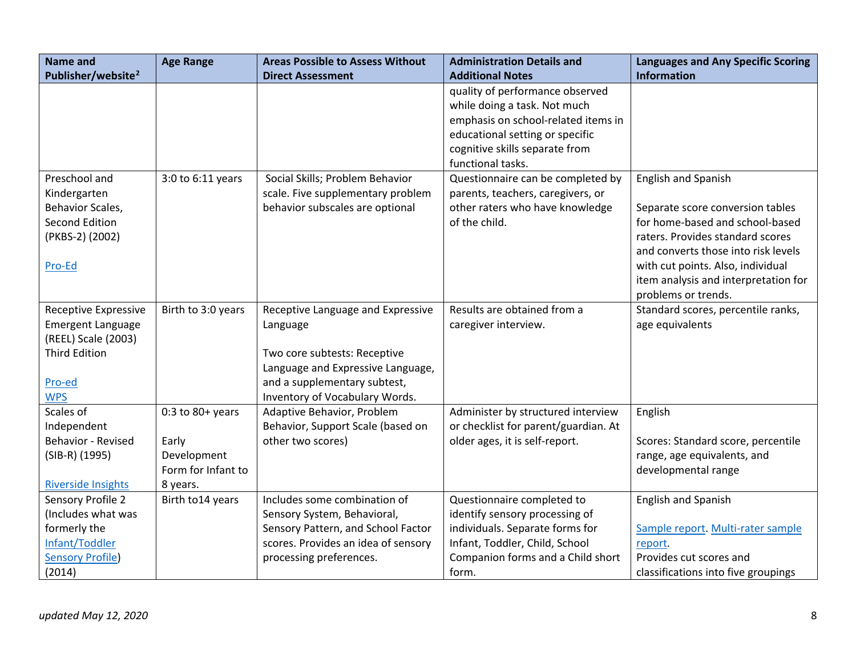| <b>Name and</b>                                         | <b>Age Range</b>     | <b>Areas Possible to Assess Without</b> | <b>Administration Details and</b>    | <b>Languages and Any Specific Scoring</b>                   |
|---------------------------------------------------------|----------------------|-----------------------------------------|--------------------------------------|-------------------------------------------------------------|
| Publisher/website <sup>2</sup>                          |                      | <b>Direct Assessment</b>                | <b>Additional Notes</b>              | <b>Information</b>                                          |
|                                                         |                      |                                         | quality of performance observed      |                                                             |
|                                                         |                      |                                         | while doing a task. Not much         |                                                             |
|                                                         |                      |                                         | emphasis on school-related items in  |                                                             |
|                                                         |                      |                                         | educational setting or specific      |                                                             |
|                                                         |                      |                                         | cognitive skills separate from       |                                                             |
|                                                         |                      |                                         | functional tasks.                    |                                                             |
| Preschool and                                           | 3:0 to 6:11 years    | Social Skills; Problem Behavior         | Questionnaire can be completed by    | <b>English and Spanish</b>                                  |
| Kindergarten                                            |                      | scale. Five supplementary problem       | parents, teachers, caregivers, or    |                                                             |
| Behavior Scales,                                        |                      | behavior subscales are optional         | other raters who have knowledge      | Separate score conversion tables                            |
| Second Edition                                          |                      |                                         | of the child.                        | for home-based and school-based                             |
| (PKBS-2) (2002)                                         |                      |                                         |                                      | raters. Provides standard scores                            |
|                                                         |                      |                                         |                                      | and converts those into risk levels                         |
| Pro-Ed                                                  |                      |                                         |                                      | with cut points. Also, individual                           |
|                                                         |                      |                                         |                                      | item analysis and interpretation for<br>problems or trends. |
|                                                         |                      |                                         | Results are obtained from a          | Standard scores, percentile ranks,                          |
| <b>Receptive Expressive</b><br><b>Emergent Language</b> | Birth to 3:0 years   | Receptive Language and Expressive       | caregiver interview.                 | age equivalents                                             |
| (REEL) Scale (2003)                                     |                      | Language                                |                                      |                                                             |
| <b>Third Edition</b>                                    |                      | Two core subtests: Receptive            |                                      |                                                             |
|                                                         |                      | Language and Expressive Language,       |                                      |                                                             |
| Pro-ed                                                  |                      | and a supplementary subtest,            |                                      |                                                             |
| <b>WPS</b>                                              |                      | Inventory of Vocabulary Words.          |                                      |                                                             |
| Scales of                                               | $0:3$ to $80+$ years | Adaptive Behavior, Problem              | Administer by structured interview   | English                                                     |
| Independent                                             |                      | Behavior, Support Scale (based on       | or checklist for parent/guardian. At |                                                             |
| Behavior - Revised                                      | Early                | other two scores)                       | older ages, it is self-report.       | Scores: Standard score, percentile                          |
| (SIB-R) (1995)                                          | Development          |                                         |                                      | range, age equivalents, and                                 |
|                                                         | Form for Infant to   |                                         |                                      | developmental range                                         |
| <b>Riverside Insights</b>                               | 8 years.             |                                         |                                      |                                                             |
| Sensory Profile 2                                       | Birth to14 years     | Includes some combination of            | Questionnaire completed to           | <b>English and Spanish</b>                                  |
| (Includes what was                                      |                      | Sensory System, Behavioral,             | identify sensory processing of       |                                                             |
| formerly the                                            |                      | Sensory Pattern, and School Factor      | individuals. Separate forms for      | Sample report. Multi-rater sample                           |
| Infant/Toddler                                          |                      | scores. Provides an idea of sensory     | Infant, Toddler, Child, School       | report.                                                     |
| <b>Sensory Profile)</b>                                 |                      | processing preferences.                 | Companion forms and a Child short    | Provides cut scores and                                     |
| (2014)                                                  |                      |                                         | form.                                | classifications into five groupings                         |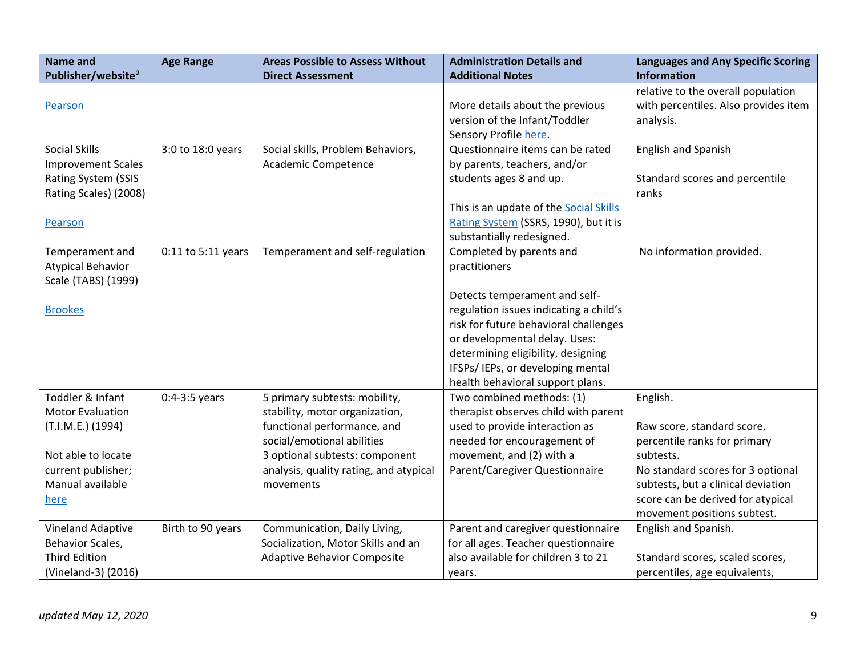| <b>Name and</b>                | <b>Age Range</b>   | <b>Areas Possible to Assess Without</b> | <b>Administration Details and</b>      | <b>Languages and Any Specific Scoring</b> |
|--------------------------------|--------------------|-----------------------------------------|----------------------------------------|-------------------------------------------|
| Publisher/website <sup>2</sup> |                    | <b>Direct Assessment</b>                | <b>Additional Notes</b>                | <b>Information</b>                        |
|                                |                    |                                         |                                        | relative to the overall population        |
| Pearson                        |                    |                                         | More details about the previous        | with percentiles. Also provides item      |
|                                |                    |                                         | version of the Infant/Toddler          | analysis.                                 |
|                                |                    |                                         | Sensory Profile here.                  |                                           |
| <b>Social Skills</b>           | 3:0 to 18:0 years  | Social skills, Problem Behaviors,       | Questionnaire items can be rated       | <b>English and Spanish</b>                |
| <b>Improvement Scales</b>      |                    | Academic Competence                     | by parents, teachers, and/or           |                                           |
| Rating System (SSIS            |                    |                                         | students ages 8 and up.                | Standard scores and percentile            |
| Rating Scales) (2008)          |                    |                                         |                                        | ranks                                     |
|                                |                    |                                         | This is an update of the Social Skills |                                           |
| Pearson                        |                    |                                         | Rating System (SSRS, 1990), but it is  |                                           |
|                                |                    |                                         | substantially redesigned.              |                                           |
| Temperament and                | 0:11 to 5:11 years | Temperament and self-regulation         | Completed by parents and               | No information provided.                  |
| <b>Atypical Behavior</b>       |                    |                                         | practitioners                          |                                           |
| Scale (TABS) (1999)            |                    |                                         |                                        |                                           |
|                                |                    |                                         | Detects temperament and self-          |                                           |
| <b>Brookes</b>                 |                    |                                         | regulation issues indicating a child's |                                           |
|                                |                    |                                         | risk for future behavioral challenges  |                                           |
|                                |                    |                                         | or developmental delay. Uses:          |                                           |
|                                |                    |                                         | determining eligibility, designing     |                                           |
|                                |                    |                                         | IFSPs/IEPs, or developing mental       |                                           |
|                                |                    |                                         | health behavioral support plans.       |                                           |
| Toddler & Infant               | $0:4-3:5$ years    | 5 primary subtests: mobility,           | Two combined methods: (1)              | English.                                  |
| <b>Motor Evaluation</b>        |                    | stability, motor organization,          | therapist observes child with parent   |                                           |
| (T.I.M.E.) (1994)              |                    | functional performance, and             | used to provide interaction as         | Raw score, standard score,                |
|                                |                    | social/emotional abilities              | needed for encouragement of            | percentile ranks for primary              |
| Not able to locate             |                    | 3 optional subtests: component          | movement, and (2) with a               | subtests.                                 |
| current publisher;             |                    | analysis, quality rating, and atypical  | Parent/Caregiver Questionnaire         | No standard scores for 3 optional         |
| Manual available               |                    | movements                               |                                        | subtests, but a clinical deviation        |
| here                           |                    |                                         |                                        | score can be derived for atypical         |
|                                |                    |                                         |                                        | movement positions subtest.               |
| Vineland Adaptive              | Birth to 90 years  | Communication, Daily Living,            | Parent and caregiver questionnaire     | English and Spanish.                      |
| Behavior Scales,               |                    | Socialization, Motor Skills and an      | for all ages. Teacher questionnaire    |                                           |
| <b>Third Edition</b>           |                    | <b>Adaptive Behavior Composite</b>      | also available for children 3 to 21    | Standard scores, scaled scores,           |
| (Vineland-3) (2016)            |                    |                                         | years.                                 | percentiles, age equivalents,             |